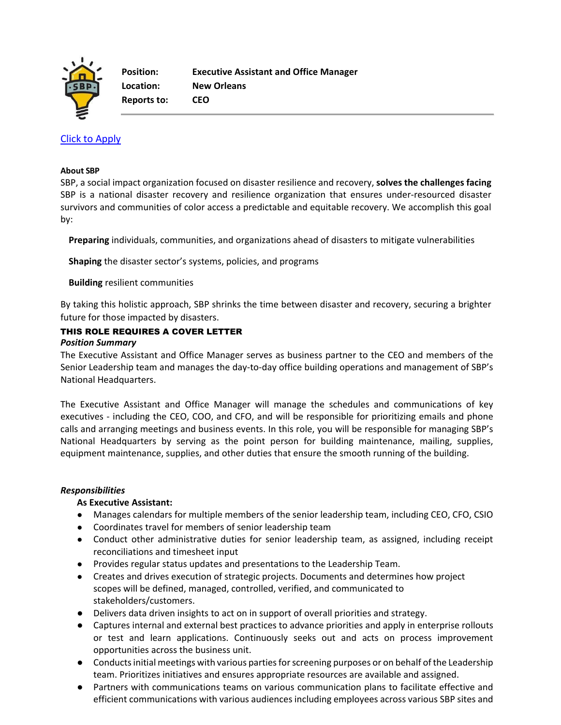

**Reports to: CEO**

# [Click to Apply](https://recruiting.paylocity.com/recruiting/jobs/Apply/1104044/SBP/Executive-Assistant-and-Office-Manager)

#### **About SBP**

SBP, a social impact organization focused on disaster resilience and recovery, **solves the challenges facing**  SBP is a national disaster recovery and resilience organization that ensures under-resourced disaster survivors and communities of color access a predictable and equitable recovery. We accomplish this goal by:

**Preparing** individuals, communities, and organizations ahead of disasters to mitigate vulnerabilities

**Shaping** the disaster sector's systems, policies, and programs

## **Building** resilient communities

By taking this holistic approach, SBP shrinks the time between disaster and recovery, securing a brighter future for those impacted by disasters.

# THIS ROLE REQUIRES A COVER LETTER

## *Position Summary*

The Executive Assistant and Office Manager serves as business partner to the CEO and members of the Senior Leadership team and manages the day-to-day office building operations and management of SBP's National Headquarters.

The Executive Assistant and Office Manager will manage the schedules and communications of key executives - including the CEO, COO, and CFO, and will be responsible for prioritizing emails and phone calls and arranging meetings and business events. In this role, you will be responsible for managing SBP's National Headquarters by serving as the point person for building maintenance, mailing, supplies, equipment maintenance, supplies, and other duties that ensure the smooth running of the building.

## *Responsibilities*

## **As Executive Assistant:**

- Manages calendars for multiple members of the senior leadership team, including CEO, CFO, CSIO
- Coordinates travel for members of senior leadership team
- Conduct other administrative duties for senior leadership team, as assigned, including receipt reconciliations and timesheet input
- Provides regular status updates and presentations to the Leadership Team.
- Creates and drives execution of strategic projects. Documents and determines how project scopes will be defined, managed, controlled, verified, and communicated to stakeholders/customers.
- Delivers data driven insights to act on in support of overall priorities and strategy.
- Captures internal and external best practices to advance priorities and apply in enterprise rollouts or test and learn applications. Continuously seeks out and acts on process improvement opportunities across the business unit.
- Conducts initial meetings with various parties for screening purposes or on behalf of the Leadership team. Prioritizes initiatives and ensures appropriate resources are available and assigned.
- Partners with communications teams on various communication plans to facilitate effective and efficient communications with various audiences including employees across various SBP sites and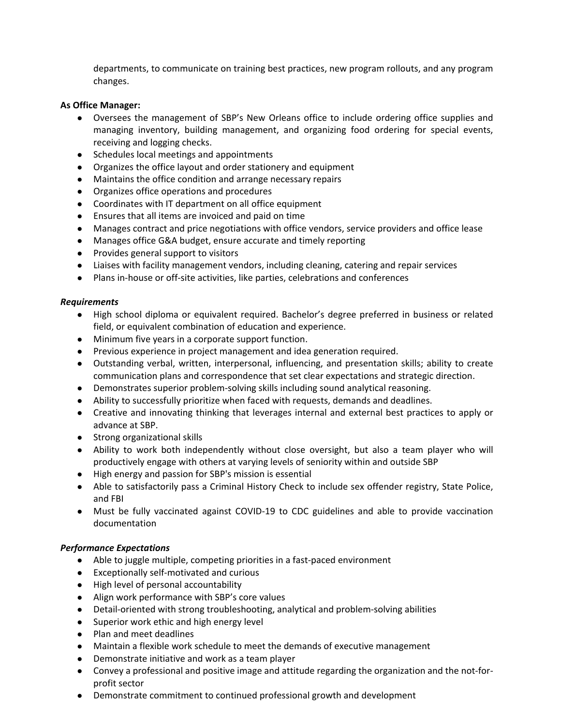departments, to communicate on training best practices, new program rollouts, and any program changes.

#### **As Office Manager:**

- Oversees the management of SBP's New Orleans office to include ordering office supplies and managing inventory, building management, and organizing food ordering for special events, receiving and logging checks.
- Schedules local meetings and appointments
- Organizes the office layout and order stationery and equipment
- Maintains the office condition and arrange necessary repairs
- Organizes office operations and procedures
- Coordinates with IT department on all office equipment
- Ensures that all items are invoiced and paid on time
- Manages contract and price negotiations with office vendors, service providers and office lease
- Manages office G&A budget, ensure accurate and timely reporting
- Provides general support to visitors
- Liaises with facility management vendors, including cleaning, catering and repair services
- Plans in-house or off-site activities, like parties, celebrations and conferences

#### *Requirements*

- High school diploma or equivalent required. Bachelor's degree preferred in business or related field, or equivalent combination of education and experience.
- Minimum five years in a corporate support function.
- Previous experience in project management and idea generation required.
- Outstanding verbal, written, interpersonal, influencing, and presentation skills; ability to create communication plans and correspondence that set clear expectations and strategic direction.
- Demonstrates superior problem-solving skills including sound analytical reasoning.
- Ability to successfully prioritize when faced with requests, demands and deadlines.
- Creative and innovating thinking that leverages internal and external best practices to apply or advance at SBP.
- Strong organizational skills
- Ability to work both independently without close oversight, but also a team player who will productively engage with others at varying levels of seniority within and outside SBP
- High energy and passion for SBP's mission is essential
- Able to satisfactorily pass a Criminal History Check to include sex offender registry, State Police, and FBI
- Must be fully vaccinated against COVID-19 to CDC guidelines and able to provide vaccination documentation

## *Performance Expectations*

- Able to juggle multiple, competing priorities in a fast-paced environment
- Exceptionally self-motivated and curious
- High level of personal accountability
- Align work performance with SBP's core values
- Detail-oriented with strong troubleshooting, analytical and problem-solving abilities
- Superior work ethic and high energy level
- Plan and meet deadlines
- Maintain a flexible work schedule to meet the demands of executive management
- Demonstrate initiative and work as a team player
- Convey a professional and positive image and attitude regarding the organization and the not-forprofit sector
- Demonstrate commitment to continued professional growth and development